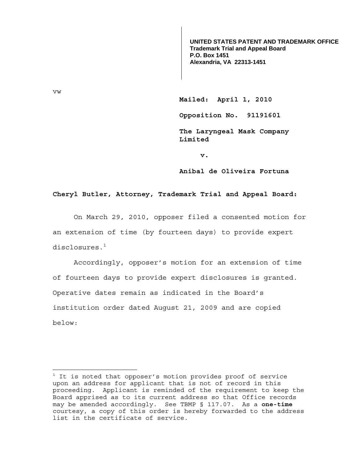**UNITED STATES PATENT AND TRADEMARK OFFICE Trademark Trial and Appeal Board P.O. Box 1451 Alexandria, VA 22313-1451**

**Mailed: April 1, 2010** 

 **Opposition No. 91191601** 

 **The Laryngeal Mask Company Limited** 

**v. v.** 

 **Anibal de Oliveira Fortuna** 

## **Cheryl Butler, Attorney, Trademark Trial and Appeal Board:**

 On March 29, 2010, opposer filed a consented motion for an extension of time (by fourteen days) to provide expert disclosures. $^{\rm 1}$ 

Accordingly, opposer's motion for an extension of time of fourteen days to provide expert disclosures is granted. Operative dates remain as indicated in the Board's institution order dated August 21, 2009 and are copied below:

vw

 $1$  It is noted that opposer's motion provides proof of service upon an address for applicant that is not of record in this proceeding. Applicant is reminded of the requirement to keep the Board apprised as to its current address so that Office records may be amended accordingly. See TBMP § 117.07. As a **one-time** courtesy, a copy of this order is hereby forwarded to the address list in the certificate of service.